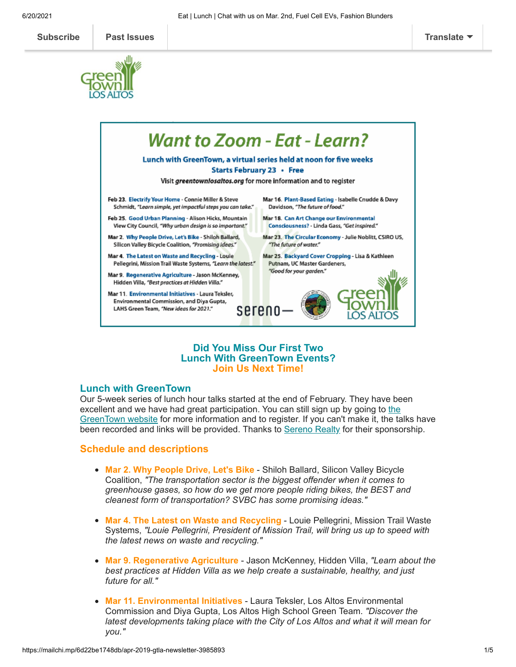



## **Did You Miss Our First Two Lunch With GreenTown Events? Join Us Next Time!**

#### **Lunch with GreenTown**

Our 5-week series of lunch hour talks started at the end of February. They have been excellent and we have had great participation. You can still sign up by going to the GreenTown website for more [information and to register. If you can't make it, the ta](https://www.greentownlosaltos.org/)lks have been recorded and links will be provided. Thanks to [Sereno Realty](https://www.serenogroup.com/Offices/Los-Altos/Agents) for their sponsorship.

#### **Schedule and descriptions**

- **Mar 2. Why People Drive, Let's Bike** Shiloh Ballard, Silicon Valley Bicycle Coalition, *"The transportation sector is the biggest offender when it comes to greenhouse gases, so how do we get more people riding bikes, the BEST and cleanest form of transportation? SVBC has some promising ideas."*
- **Mar 4. The Latest on Waste and Recycling** Louie Pellegrini, Mission Trail Waste Systems, *"Louie Pellegrini, President of Mission Trail, will bring us up to speed with the latest news on waste and recycling."*
- **Mar 9. Regenerative Agriculture** Jason McKenney, Hidden Villa, *"Learn about the best practices at Hidden Villa as we help create a sustainable, healthy, and just future for all."*
- **Mar 11. Environmental Initiatives** Laura Teksler, Los Altos Environmental Commission and Diya Gupta, Los Altos High School Green Team. *"Discover the latest developments taking place with the City of Los Altos and what it will mean for you."*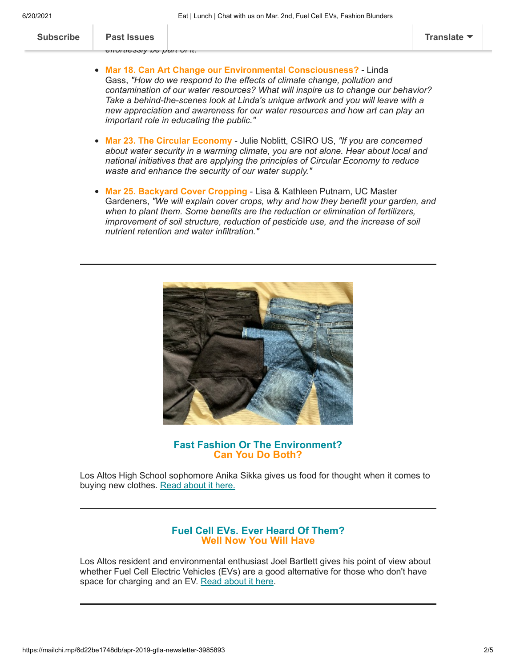| Translate |
|-----------|

| <b>Subscribe</b> | <b>Past Issues</b>                                                                                                                                                                                                                                                                                                                                                                                                                                                                | Translate |  |  |  |
|------------------|-----------------------------------------------------------------------------------------------------------------------------------------------------------------------------------------------------------------------------------------------------------------------------------------------------------------------------------------------------------------------------------------------------------------------------------------------------------------------------------|-----------|--|--|--|
|                  | σπυπισοσιγ να γαπ νι π.<br>• Mar 18. Can Art Change our Environmental Consciousness? - Linda<br>Gass, "How do we respond to the effects of climate change, pollution and<br>contamination of our water resources? What will inspire us to change our behavior?<br>Take a behind-the-scenes look at Linda's unique artwork and you will leave with a<br>new appreciation and awareness for our water resources and how art can play an<br>important role in educating the public." |           |  |  |  |
|                  | • Mar 23. The Circular Economy - Julie Noblitt, CSIRO US, "If you are concerned<br>about water security in a warming climate, you are not alone. Hear about local and<br>national initiatives that are applying the principles of Circular Economy to reduce<br>waste and enhance the security of our water supply."                                                                                                                                                              |           |  |  |  |
|                  | • Mar 25. Backyard Cover Cropping - Lisa & Kathleen Putnam, UC Master<br>Gardeners, "We will explain cover crops, why and how they benefit your garden, and<br>when to plant them. Some benefits are the reduction or elimination of fertilizers,                                                                                                                                                                                                                                 |           |  |  |  |



*improvement of soil structure, reduction of pesticide use, and the increase of soil*

*nutrient retention and water infiltration."*

# **Fast Fashion Or The Environment? Can You Do Both?**

Los Altos High School sophomore Anika Sikka gives us food for thought when it comes to buying new clothes. [Read about it here.](https://www.greentownlosaltos.org/post/fast-fashion-versus-the-environment-who-wins)

# **Fuel Cell EVs. Ever Heard Of Them? Well Now You Will Have**

Los Altos resident and environmental enthusiast Joel Bartlett gives his point of view about whether Fuel Cell Electric Vehicles (EVs) are a good alternative for those who don't have space for charging and an EV. [Read about it here](https://www.greentownlosaltos.org/post/fuel-cell-evs-realistic-alternatives-or-pipe-dream).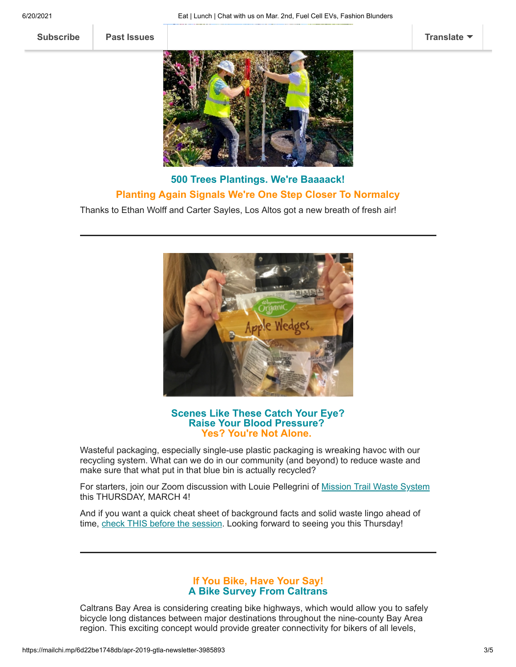**[Subscribe](http://eepurl.com/cm9q9b) [Past Issues](https://us5.campaign-archive.com/home/?u=ed40313cb8798acef49a6faa8&id=bcf3e43825) [Translate](javascript:;)**



# **500 Trees Plantings. We're Baaaack! Planting Again Signals We're One Step Closer To Normalcy**

Thanks to Ethan Wolff and Carter Sayles, Los Altos got a new breath of fresh air!



## **Scenes Like These Catch Your Eye? Raise Your Blood Pressure? Yes? You're Not Alone.**

Wasteful packaging, especially single-use plastic packaging is wreaking havoc with our recycling system. What can we do in our community (and beyond) to reduce waste and make sure that what put in that blue bin is actually recycled?

For starters, join our Zoom discussion with Louie Pellegrini of [Mission Trail Waste System](https://missiontrail.com/) this THURSDAY, MARCH 4!

And if you want a quick cheat sheet of background facts and solid waste lingo ahead of time, [check THIS before the session.](https://www.greentownlosaltos.org/post/waste-reduction-recycling-how-does-los-altos-compare) Looking forward to seeing you this Thursday!

#### **If You Bike, Have Your Say! A Bike Survey From Caltrans**

Caltrans Bay Area is considering creating bike highways, which would allow you to safely bicycle long distances between major destinations throughout the nine-county Bay Area region. This exciting concept would provide greater connectivity for bikers of all levels,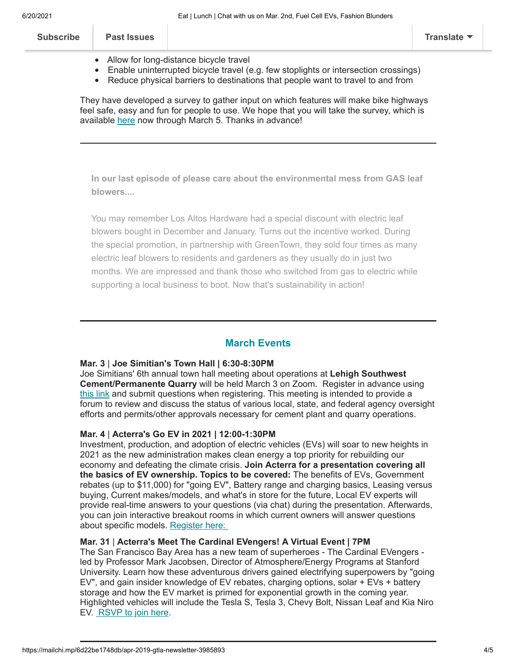| <b>Subscribe</b> | <b>Past Issues</b> |                                        | Translate $\blacktriangledown$ |
|------------------|--------------------|----------------------------------------|--------------------------------|
|                  |                    | Allow for long-distance bicycle travel |                                |

- Enable uninterrupted bicycle travel (e.g. few stoplights or intersection crossings)
- Reduce physical barriers to destinations that people want to travel to and from

They have developed a survey to gather input on which features will make bike highways feel safe, easy and fun for people to use. We hope that you will take the survey, which is available [here](https://www.surveymonkey.com/r/CaltransBayAreaBikeHighwaySurvey) now through March 5. Thanks in advance!

**In our last episode of please care about the environmental mess from GAS leaf blowers....**

You may remember Los Altos Hardware had a special discount with electric leaf blowers bought in December and January. Turns out the incentive worked. During the special promotion, in partnership with GreenTown, they sold four times as many electric leaf blowers to residents and gardeners as they usually do in just two months. We are impressed and thank those who switched from gas to electric while supporting a local business to boot. Now that's sustainability in action!

# **March Events**

## **Mar. 3** | **Joe Simitian's Town Hall | 6:30-8:30PM**

Joe Simitians' 6th annual town hall meeting about operations at **Lehigh Southwest Cement/Permanente Quarry** will be held March 3 on Zoom. Register in advance using [this](https://sccgov-org.zoom.us/webinar/register/WN_668mGT_bRtC4V_dIU0pvzg?mc_cid=fa01481680&mc_eid=d558a5c472) link and submit questions when registering. This meeting is intended to provide a forum to review and discuss the status of various local, state, and federal agency oversight efforts and permits/other approvals necessary for cement plant and quarry operations.

## **Mar. 4** | **Acterra's Go EV in 2021 | 12:00-1:30PM**

Investment, production, and adoption of electric vehicles (EVs) will soar to new heights in 2021 as the new administration makes clean energy a top priority for rebuilding our economy and defeating the climate crisis. **Join Acterra for a presentation covering all the basics of EV ownership. Topics to be covered:** The benefits of EVs, Government rebates (up to \$11,000) for "going EV", Battery range and charging basics, Leasing versus buying, Current makes/models, and what's in store for the future, Local EV experts will provide real-time answers to your questions (via chat) during the presentation. Afterwards, you can join interactive breakout rooms in which current owners will answer questions about specific models. [Register here:](https://www.eventbrite.com/e/go-ev-in-2021-registration-135572483949?aff=eventpage)

# **Mar. 31** | **Acterra's Meet The Cardinal EVengers! A Virtual Event | 7PM**

The San Francisco Bay Area has a new team of superheroes - The Cardinal EVengers led by Professor Mark Jacobsen, Director of Atmosphere/Energy Programs at Stanford University. Learn how these adventurous drivers gained electrifying superpowers by "going EV", and gain insider knowledge of EV rebates, charging options, solar + EVs + battery storage and how the EV market is primed for exponential growth in the coming year. Highlighted vehicles will include the Tesla S, Tesla 3, Chevy Bolt, Nissan Leaf and Kia Niro EV. [RSVP to join here](https://www.eventbrite.com/e/meet-the-cardinal-evengers-tickets-133178896665?aff=GTLA).